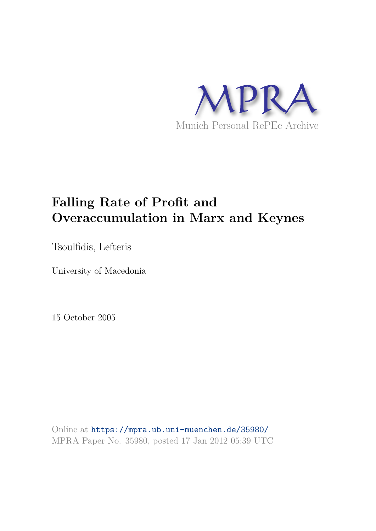

# **Falling Rate of Profit and Overaccumulation in Marx and Keynes**

Tsoulfidis, Lefteris

University of Macedonia

15 October 2005

Online at https://mpra.ub.uni-muenchen.de/35980/ MPRA Paper No. 35980, posted 17 Jan 2012 05:39 UTC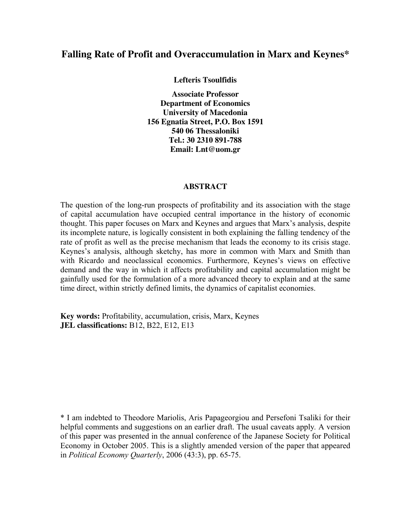## **Falling Rate of Profit and Overaccumulation in Marx and Keynes\***

**Lefteris Tsoulfidis** 

**Associate Professor Department of Economics University of Macedonia 156 Egnatia Street, P.O. Box 1591 540 06 Thessaloniki Tel.: 30 2310 891-788 Email: Lnt@uom.gr** 

#### **ABSTRACT**

The question of the long-run prospects of profitability and its association with the stage of capital accumulation have occupied central importance in the history of economic thought. This paper focuses on Marx and Keynes and argues that Marx's analysis, despite its incomplete nature, is logically consistent in both explaining the falling tendency of the rate of profit as well as the precise mechanism that leads the economy to its crisis stage. Keynes's analysis, although sketchy, has more in common with Marx and Smith than with Ricardo and neoclassical economics. Furthermore, Keynes's views on effective demand and the way in which it affects profitability and capital accumulation might be gainfully used for the formulation of a more advanced theory to explain and at the same time direct, within strictly defined limits, the dynamics of capitalist economies.

**Key words:** Profitability, accumulation, crisis, Marx, Keynes **JEL classifications:** B12, B22, E12, E13

\* I am indebted to Theodore Mariolis, Aris Papageorgiou and Persefoni Tsaliki for their helpful comments and suggestions on an earlier draft. The usual caveats apply*.* A version of this paper was presented in the annual conference of the Japanese Society for Political Economy in October 2005. This is a slightly amended version of the paper that appeared in *Political Economy Quarterly*, 2006 (43:3), pp. 65-75.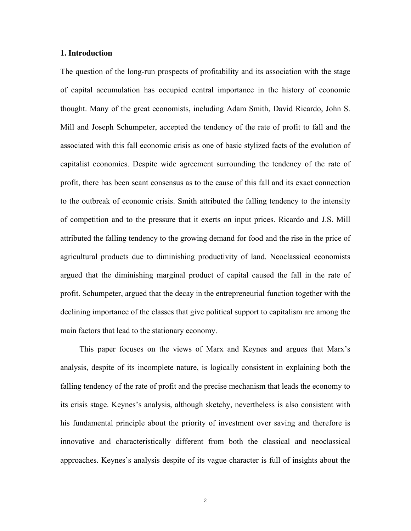#### **1. Introduction**

The question of the long-run prospects of profitability and its association with the stage of capital accumulation has occupied central importance in the history of economic thought. Many of the great economists, including Adam Smith, David Ricardo, John S. Mill and Joseph Schumpeter, accepted the tendency of the rate of profit to fall and the associated with this fall economic crisis as one of basic stylized facts of the evolution of capitalist economies. Despite wide agreement surrounding the tendency of the rate of profit, there has been scant consensus as to the cause of this fall and its exact connection to the outbreak of economic crisis. Smith attributed the falling tendency to the intensity of competition and to the pressure that it exerts on input prices. Ricardo and J.S. Mill attributed the falling tendency to the growing demand for food and the rise in the price of agricultural products due to diminishing productivity of land. Neoclassical economists argued that the diminishing marginal product of capital caused the fall in the rate of profit. Schumpeter, argued that the decay in the entrepreneurial function together with the declining importance of the classes that give political support to capitalism are among the main factors that lead to the stationary economy.

 This paper focuses on the views of Marx and Keynes and argues that Marx's analysis, despite of its incomplete nature, is logically consistent in explaining both the falling tendency of the rate of profit and the precise mechanism that leads the economy to its crisis stage. Keynes's analysis, although sketchy, nevertheless is also consistent with his fundamental principle about the priority of investment over saving and therefore is innovative and characteristically different from both the classical and neoclassical approaches. Keynes's analysis despite of its vague character is full of insights about the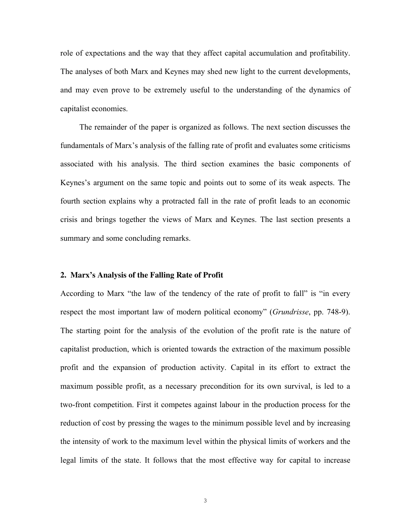role of expectations and the way that they affect capital accumulation and profitability. The analyses of both Marx and Keynes may shed new light to the current developments, and may even prove to be extremely useful to the understanding of the dynamics of capitalist economies.

 The remainder of the paper is organized as follows. The next section discusses the fundamentals of Marx's analysis of the falling rate of profit and evaluates some criticisms associated with his analysis. The third section examines the basic components of Keynes's argument on the same topic and points out to some of its weak aspects. The fourth section explains why a protracted fall in the rate of profit leads to an economic crisis and brings together the views of Marx and Keynes. The last section presents a summary and some concluding remarks.

#### **2. Marx's Analysis of the Falling Rate of Profit**

According to Marx "the law of the tendency of the rate of profit to fall" is "in every respect the most important law of modern political economy" (*Grundrisse*, pp. 748-9). The starting point for the analysis of the evolution of the profit rate is the nature of capitalist production, which is oriented towards the extraction of the maximum possible profit and the expansion of production activity. Capital in its effort to extract the maximum possible profit, as a necessary precondition for its own survival, is led to a two-front competition. First it competes against labour in the production process for the reduction of cost by pressing the wages to the minimum possible level and by increasing the intensity of work to the maximum level within the physical limits of workers and the legal limits of the state. It follows that the most effective way for capital to increase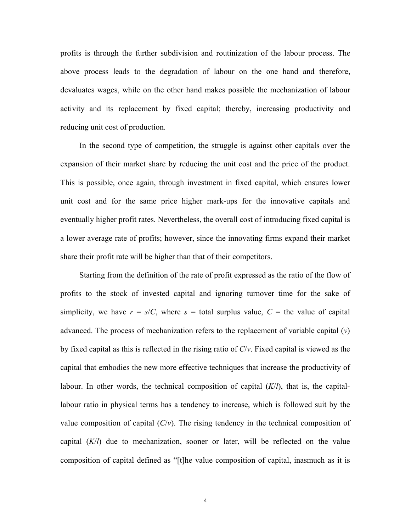profits is through the further subdivision and routinization of the labour process. The above process leads to the degradation of labour on the one hand and therefore, devaluates wages, while on the other hand makes possible the mechanization of labour activity and its replacement by fixed capital; thereby, increasing productivity and reducing unit cost of production.

 In the second type of competition, the struggle is against other capitals over the expansion of their market share by reducing the unit cost and the price of the product. This is possible, once again, through investment in fixed capital, which ensures lower unit cost and for the same price higher mark-ups for the innovative capitals and eventually higher profit rates. Nevertheless, the overall cost of introducing fixed capital is a lower average rate of profits; however, since the innovating firms expand their market share their profit rate will be higher than that of their competitors.

 Starting from the definition of the rate of profit expressed as the ratio of the flow of profits to the stock of invested capital and ignoring turnover time for the sake of simplicity, we have  $r = s/C$ , where  $s =$  total surplus value,  $C =$  the value of capital advanced. The process of mechanization refers to the replacement of variable capital (*v*) by fixed capital as this is reflected in the rising ratio of *C*/*v*. Fixed capital is viewed as the capital that embodies the new more effective techniques that increase the productivity of labour. In other words, the technical composition of capital (*K*/*l*), that is, the capitallabour ratio in physical terms has a tendency to increase, which is followed suit by the value composition of capital  $(C/v)$ . The rising tendency in the technical composition of capital  $(K/I)$  due to mechanization, sooner or later, will be reflected on the value composition of capital defined as "[t]he value composition of capital, inasmuch as it is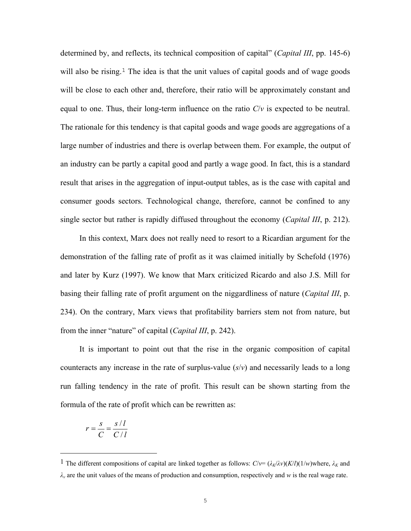determined by, and reflects, its technical composition of capital" (*Capital III*, pp. 145-6) will also be rising.<sup>1</sup> The idea is that the unit values of capital goods and of wage goods will be close to each other and, therefore, their ratio will be approximately constant and equal to one. Thus, their long-term influence on the ratio *C*/*v* is expected to be neutral. The rationale for this tendency is that capital goods and wage goods are aggregations of a large number of industries and there is overlap between them. For example, the output of an industry can be partly a capital good and partly a wage good. In fact, this is a standard result that arises in the aggregation of input-output tables, as is the case with capital and consumer goods sectors. Technological change, therefore, cannot be confined to any single sector but rather is rapidly diffused throughout the economy (*Capital III*, p. 212).

 In this context, Marx does not really need to resort to a Ricardian argument for the demonstration of the falling rate of profit as it was claimed initially by Schefold (1976) and later by Kurz (1997). We know that Marx criticized Ricardo and also J.S. Mill for basing their falling rate of profit argument on the niggardliness of nature (*Capital III*, p. 234). On the contrary, Marx views that profitability barriers stem not from nature, but from the inner "nature" of capital (*Capital III*, p. 242).

 It is important to point out that the rise in the organic composition of capital counteracts any increase in the rate of surplus-value (*s*/*v*) and necessarily leads to a long run falling tendency in the rate of profit. This result can be shown starting from the formula of the rate of profit which can be rewritten as:

$$
r = \frac{s}{C} = \frac{s/l}{C/l}
$$

 $\overline{\phantom{0}}$ 

<sup>&</sup>lt;sup>1</sup> The different compositions of capital are linked together as follows:  $C/v = (\lambda_K/\lambda v)(K/l)(1/w)$ where,  $\lambda_K$  and *λv* are the unit values of the means of production and consumption, respectively and *w* is the real wage rate.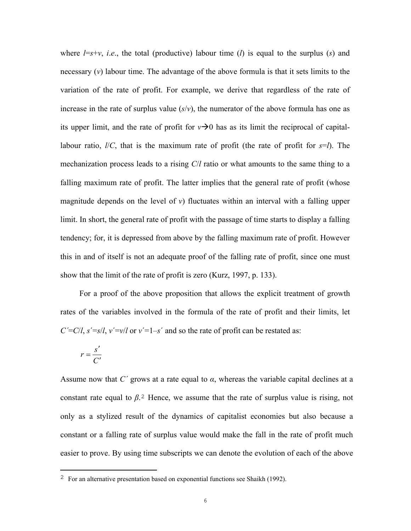where  $l = s + v$ , *i.e.*, the total (productive) labour time (*l*) is equal to the surplus (*s*) and necessary (*v*) labour time. The advantage of the above formula is that it sets limits to the variation of the rate of profit. For example, we derive that regardless of the rate of increase in the rate of surplus value  $(s/v)$ , the numerator of the above formula has one as its upper limit, and the rate of profit for  $v\rightarrow 0$  has as its limit the reciprocal of capitallabour ratio, *l*/*C*, that is the maximum rate of profit (the rate of profit for *s*=*l*). The mechanization process leads to a rising *C*/*l* ratio or what amounts to the same thing to a falling maximum rate of profit. The latter implies that the general rate of profit (whose magnitude depends on the level of *v*) fluctuates within an interval with a falling upper limit. In short, the general rate of profit with the passage of time starts to display a falling tendency; for, it is depressed from above by the falling maximum rate of profit. However this in and of itself is not an adequate proof of the falling rate of profit, since one must show that the limit of the rate of profit is zero (Kurz, 1997, p. 133).

 For a proof of the above proposition that allows the explicit treatment of growth rates of the variables involved in the formula of the rate of profit and their limits, let  $C' = C/l$ ,  $s' = s/l$ ,  $v' = v/l$  or  $v' = 1 - s'$  and so the rate of profit can be restated as:

$$
r = \frac{s'}{C'}
$$

 $\overline{a}$ 

Assume now that *C΄* grows at a rate equal to *α*, whereas the variable capital declines at a constant rate equal to  $\beta$ <sup>2</sup>. Hence, we assume that the rate of surplus value is rising, not only as a stylized result of the dynamics of capitalist economies but also because a constant or a falling rate of surplus value would make the fall in the rate of profit much easier to prove. By using time subscripts we can denote the evolution of each of the above

<sup>2</sup> For an alternative presentation based on exponential functions see Shaikh (1992).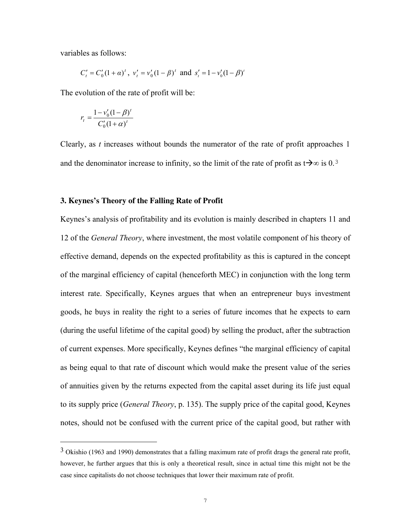variables as follows:

$$
C'_t = C'_0 (1 + \alpha)^t
$$
,  $v'_t = v'_0 (1 - \beta)^t$  and  $s'_t = 1 - v'_0 (1 - \beta)^t$ 

The evolution of the rate of profit will be:

$$
r_{t} = \frac{1 - v_{0}'(1 - \beta)^{t}}{C_{0}'(1 + \alpha)^{t}}
$$

 $\overline{\phantom{0}}$ 

Clearly, as *t* increases without bounds the numerator of the rate of profit approaches 1 and the denominator increase to infinity, so the limit of the rate of profit as t $\rightarrow \infty$  is 0.<sup>3</sup>

#### **3. Keynes's Theory of the Falling Rate of Profit**

Keynes's analysis of profitability and its evolution is mainly described in chapters 11 and 12 of the *General Theory*, where investment, the most volatile component of his theory of effective demand, depends on the expected profitability as this is captured in the concept of the marginal efficiency of capital (henceforth MEC) in conjunction with the long term interest rate. Specifically, Keynes argues that when an entrepreneur buys investment goods, he buys in reality the right to a series of future incomes that he expects to earn (during the useful lifetime of the capital good) by selling the product, after the subtraction of current expenses. More specifically, Keynes defines "the marginal efficiency of capital as being equal to that rate of discount which would make the present value of the series of annuities given by the returns expected from the capital asset during its life just equal to its supply price (*General Theory*, p. 135). The supply price of the capital good, Keynes notes, should not be confused with the current price of the capital good, but rather with

<sup>3</sup> Okishio (1963 and 1990) demonstrates that a falling maximum rate of profit drags the general rate profit, however, he further argues that this is only a theoretical result, since in actual time this might not be the case since capitalists do not choose techniques that lower their maximum rate of profit.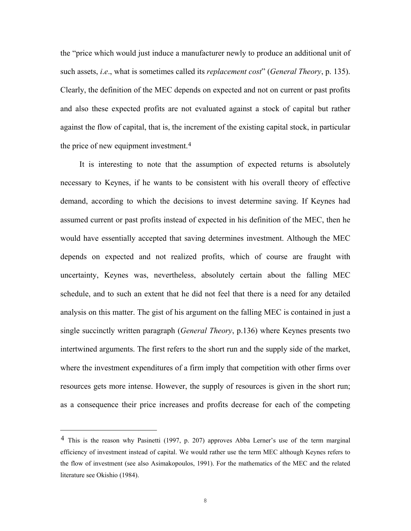the "price which would just induce a manufacturer newly to produce an additional unit of such assets, *i*.*e*., what is sometimes called its *replacement cost*" (*General Theory*, p. 135). Clearly, the definition of the MEC depends on expected and not on current or past profits and also these expected profits are not evaluated against a stock of capital but rather against the flow of capital, that is, the increment of the existing capital stock, in particular the price of new equipment investment.4

It is interesting to note that the assumption of expected returns is absolutely necessary to Keynes, if he wants to be consistent with his overall theory of effective demand, according to which the decisions to invest determine saving. If Keynes had assumed current or past profits instead of expected in his definition of the MEC, then he would have essentially accepted that saving determines investment. Although the MEC depends on expected and not realized profits, which of course are fraught with uncertainty, Keynes was, nevertheless, absolutely certain about the falling MEC schedule, and to such an extent that he did not feel that there is a need for any detailed analysis on this matter. The gist of his argument on the falling MEC is contained in just a single succinctly written paragraph (*General Theory*, p.136) where Keynes presents two intertwined arguments. The first refers to the short run and the supply side of the market, where the investment expenditures of a firm imply that competition with other firms over resources gets more intense. However, the supply of resources is given in the short run; as a consequence their price increases and profits decrease for each of the competing

 $\overline{\phantom{0}}$ 

<sup>4</sup> This is the reason why Pasinetti (1997, p. 207) approves Abba Lerner's use of the term marginal efficiency of investment instead of capital. We would rather use the term MEC although Keynes refers to the flow of investment (see also Asimakopoulos, 1991). For the mathematics of the MEC and the related literature see Okishio (1984).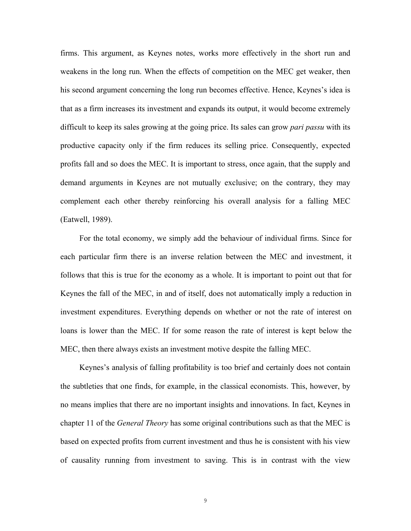firms. This argument, as Keynes notes, works more effectively in the short run and weakens in the long run. When the effects of competition on the MEC get weaker, then his second argument concerning the long run becomes effective. Hence, Keynes's idea is that as a firm increases its investment and expands its output, it would become extremely difficult to keep its sales growing at the going price. Its sales can grow *pari passu* with its productive capacity only if the firm reduces its selling price. Consequently, expected profits fall and so does the MEC. It is important to stress, once again, that the supply and demand arguments in Keynes are not mutually exclusive; on the contrary, they may complement each other thereby reinforcing his overall analysis for a falling MEC (Eatwell, 1989).

 For the total economy, we simply add the behaviour of individual firms. Since for each particular firm there is an inverse relation between the MEC and investment, it follows that this is true for the economy as a whole. It is important to point out that for Keynes the fall of the MEC, in and of itself, does not automatically imply a reduction in investment expenditures. Everything depends on whether or not the rate of interest on loans is lower than the MEC. If for some reason the rate of interest is kept below the MEC, then there always exists an investment motive despite the falling MEC.

 Keynes's analysis of falling profitability is too brief and certainly does not contain the subtleties that one finds, for example, in the classical economists. This, however, by no means implies that there are no important insights and innovations. In fact, Keynes in chapter 11 of the *General Theory* has some original contributions such as that the MEC is based on expected profits from current investment and thus he is consistent with his view of causality running from investment to saving. This is in contrast with the view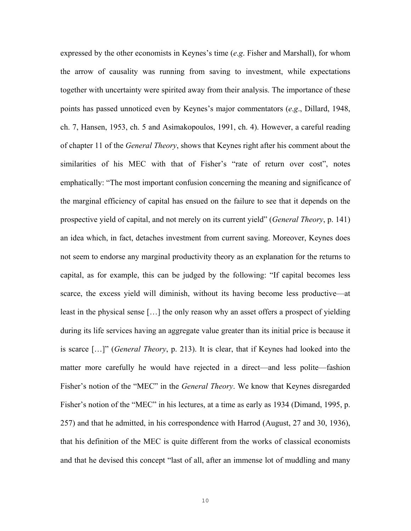expressed by the other economists in Keynes's time (*e*.*g*. Fisher and Marshall), for whom the arrow of causality was running from saving to investment, while expectations together with uncertainty were spirited away from their analysis. The importance of these points has passed unnoticed even by Keynes's major commentators (*e*.*g*., Dillard, 1948, ch. 7, Hansen, 1953, ch. 5 and Asimakopoulos, 1991, ch. 4). However, a careful reading of chapter 11 of the *General Theory*, shows that Keynes right after his comment about the similarities of his MEC with that of Fisher's "rate of return over cost", notes emphatically: "The most important confusion concerning the meaning and significance of the marginal efficiency of capital has ensued on the failure to see that it depends on the prospective yield of capital, and not merely on its current yield" (*General Theory*, p. 141) an idea which, in fact, detaches investment from current saving. Moreover, Keynes does not seem to endorse any marginal productivity theory as an explanation for the returns to capital, as for example, this can be judged by the following: "If capital becomes less scarce, the excess yield will diminish, without its having become less productive—at least in the physical sense […] the only reason why an asset offers a prospect of yielding during its life services having an aggregate value greater than its initial price is because it is scarce […]" (*General Theory*, p. 213). It is clear, that if Keynes had looked into the matter more carefully he would have rejected in a direct—and less polite—fashion Fisher's notion of the "MEC" in the *General Theory*. We know that Keynes disregarded Fisher's notion of the "MEC" in his lectures, at a time as early as 1934 (Dimand, 1995, p. 257) and that he admitted, in his correspondence with Harrod (August, 27 and 30, 1936), that his definition of the MEC is quite different from the works of classical economists and that he devised this concept "last of all, after an immense lot of muddling and many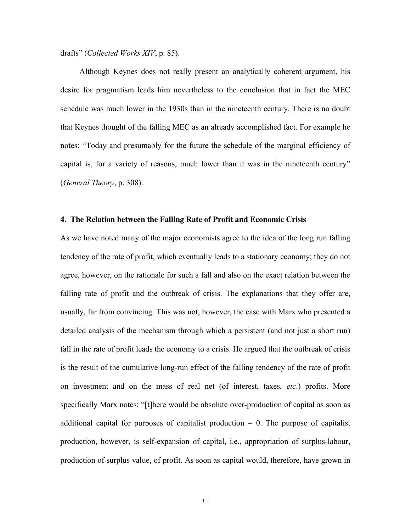drafts" (*Collected Works XIV*, p. 85).

 Although Keynes does not really present an analytically coherent argument, his desire for pragmatism leads him nevertheless to the conclusion that in fact the MEC schedule was much lower in the 1930s than in the nineteenth century. There is no doubt that Keynes thought of the falling MEC as an already accomplished fact. For example he notes: "Today and presumably for the future the schedule of the marginal efficiency of capital is, for a variety of reasons, much lower than it was in the nineteenth century" (*General Theory*, p. 308).

#### **4. The Relation between the Falling Rate of Profit and Economic Crisis**

As we have noted many of the major economists agree to the idea of the long run falling tendency of the rate of profit, which eventually leads to a stationary economy; they do not agree, however, on the rationale for such a fall and also on the exact relation between the falling rate of profit and the outbreak of crisis. The explanations that they offer are, usually, far from convincing. This was not, however, the case with Marx who presented a detailed analysis of the mechanism through which a persistent (and not just a short run) fall in the rate of profit leads the economy to a crisis. He argued that the outbreak of crisis is the result of the cumulative long-run effect of the falling tendency of the rate of profit on investment and on the mass of real net (of interest, taxes, *etc*.) profits. More specifically Marx notes: "[t]here would be absolute over-production of capital as soon as additional capital for purposes of capitalist production  $= 0$ . The purpose of capitalist production, however, is self-expansion of capital, i.e., appropriation of surplus-labour, production of surplus value, of profit. As soon as capital would, therefore, have grown in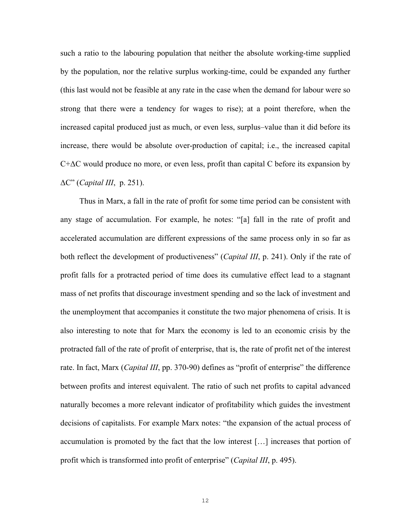such a ratio to the labouring population that neither the absolute working-time supplied by the population, nor the relative surplus working-time, could be expanded any further (this last would not be feasible at any rate in the case when the demand for labour were so strong that there were a tendency for wages to rise); at a point therefore, when the increased capital produced just as much, or even less, surplus–value than it did before its increase, there would be absolute over-production of capital; i.e., the increased capital  $C+\Delta C$  would produce no more, or even less, profit than capital C before its expansion by ΔC" (*Capital III*, p. 251).

 Thus in Marx, a fall in the rate of profit for some time period can be consistent with any stage of accumulation. For example, he notes: "[a] fall in the rate of profit and accelerated accumulation are different expressions of the same process only in so far as both reflect the development of productiveness" (*Capital III*, p. 241). Only if the rate of profit falls for a protracted period of time does its cumulative effect lead to a stagnant mass of net profits that discourage investment spending and so the lack of investment and the unemployment that accompanies it constitute the two major phenomena of crisis. It is also interesting to note that for Marx the economy is led to an economic crisis by the protracted fall of the rate of profit of enterprise, that is, the rate of profit net of the interest rate. In fact, Marx (*Capital III*, pp. 370-90) defines as "profit of enterprise" the difference between profits and interest equivalent. The ratio of such net profits to capital advanced naturally becomes a more relevant indicator of profitability which guides the investment decisions of capitalists. For example Marx notes: "the expansion of the actual process of accumulation is promoted by the fact that the low interest […] increases that portion of profit which is transformed into profit of enterprise" (*Capital III*, p. 495).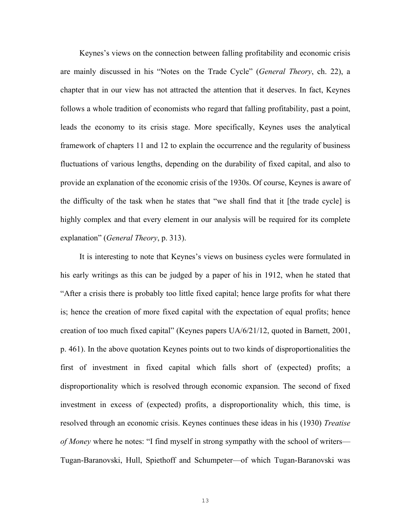Keynes's views on the connection between falling profitability and economic crisis are mainly discussed in his "Notes on the Trade Cycle" (*General Theory*, ch. 22), a chapter that in our view has not attracted the attention that it deserves. In fact, Keynes follows a whole tradition of economists who regard that falling profitability, past a point, leads the economy to its crisis stage. More specifically, Keynes uses the analytical framework of chapters 11 and 12 to explain the occurrence and the regularity of business fluctuations of various lengths, depending on the durability of fixed capital, and also to provide an explanation of the economic crisis of the 1930s. Of course, Keynes is aware of the difficulty of the task when he states that "we shall find that it [the trade cycle] is highly complex and that every element in our analysis will be required for its complete explanation" (*General Theory*, p. 313).

 It is interesting to note that Keynes's views on business cycles were formulated in his early writings as this can be judged by a paper of his in 1912, when he stated that "After a crisis there is probably too little fixed capital; hence large profits for what there is; hence the creation of more fixed capital with the expectation of equal profits; hence creation of too much fixed capital" (Keynes papers UA/6/21/12, quoted in Barnett, 2001, p. 461). In the above quotation Keynes points out to two kinds of disproportionalities the first of investment in fixed capital which falls short of (expected) profits; a disproportionality which is resolved through economic expansion. The second of fixed investment in excess of (expected) profits, a disproportionality which, this time, is resolved through an economic crisis. Keynes continues these ideas in his (1930) *Treatise of Money* where he notes: "I find myself in strong sympathy with the school of writers— Tugan-Baranovski, Hull, Spiethoff and Schumpeter—of which Tugan-Baranovski was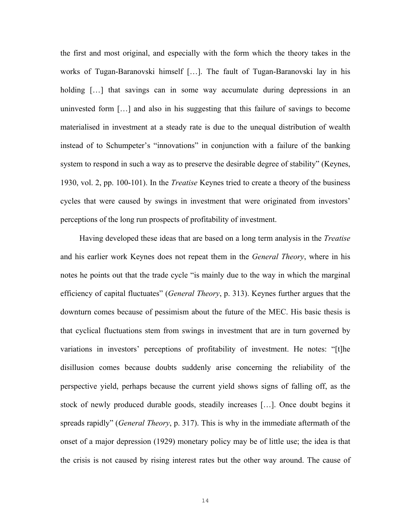the first and most original, and especially with the form which the theory takes in the works of Tugan-Baranovski himself […]. The fault of Tugan-Baranovski lay in his holding [...] that savings can in some way accumulate during depressions in an uninvested form […] and also in his suggesting that this failure of savings to become materialised in investment at a steady rate is due to the unequal distribution of wealth instead of to Schumpeter's "innovations" in conjunction with a failure of the banking system to respond in such a way as to preserve the desirable degree of stability" (Keynes, 1930, vol. 2, pp. 100-101). In the *Treatise* Keynes tried to create a theory of the business cycles that were caused by swings in investment that were originated from investors' perceptions of the long run prospects of profitability of investment.

 Having developed these ideas that are based on a long term analysis in the *Treatise*  and his earlier work Keynes does not repeat them in the *General Theory*, where in his notes he points out that the trade cycle "is mainly due to the way in which the marginal efficiency of capital fluctuates" (*General Theory*, p. 313). Keynes further argues that the downturn comes because of pessimism about the future of the MEC. His basic thesis is that cyclical fluctuations stem from swings in investment that are in turn governed by variations in investors' perceptions of profitability of investment. He notes: "[t]he disillusion comes because doubts suddenly arise concerning the reliability of the perspective yield, perhaps because the current yield shows signs of falling off, as the stock of newly produced durable goods, steadily increases […]. Once doubt begins it spreads rapidly" (*General Theory*, p. 317). This is why in the immediate aftermath of the onset of a major depression (1929) monetary policy may be of little use; the idea is that the crisis is not caused by rising interest rates but the other way around. The cause of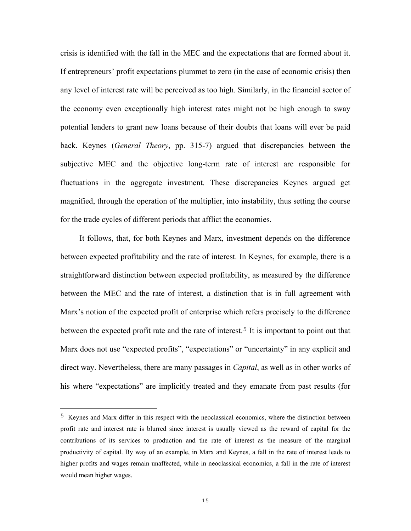crisis is identified with the fall in the MEC and the expectations that are formed about it. If entrepreneurs' profit expectations plummet to zero (in the case of economic crisis) then any level of interest rate will be perceived as too high. Similarly, in the financial sector of the economy even exceptionally high interest rates might not be high enough to sway potential lenders to grant new loans because of their doubts that loans will ever be paid back. Keynes (*General Theory*, pp. 315-7) argued that discrepancies between the subjective MEC and the objective long-term rate of interest are responsible for fluctuations in the aggregate investment. These discrepancies Keynes argued get magnified, through the operation of the multiplier, into instability, thus setting the course for the trade cycles of different periods that afflict the economies.

 It follows, that, for both Keynes and Marx, investment depends on the difference between expected profitability and the rate of interest. In Keynes, for example, there is a straightforward distinction between expected profitability, as measured by the difference between the MEC and the rate of interest, a distinction that is in full agreement with Marx's notion of the expected profit of enterprise which refers precisely to the difference between the expected profit rate and the rate of interest.<sup>5</sup> It is important to point out that Marx does not use "expected profits", "expectations" or "uncertainty" in any explicit and direct way. Nevertheless, there are many passages in *Capital*, as well as in other works of his where "expectations" are implicitly treated and they emanate from past results (for

į.

<sup>5</sup> Keynes and Marx differ in this respect with the neoclassical economics, where the distinction between profit rate and interest rate is blurred since interest is usually viewed as the reward of capital for the contributions of its services to production and the rate of interest as the measure of the marginal productivity of capital. By way of an example, in Marx and Keynes, a fall in the rate of interest leads to higher profits and wages remain unaffected, while in neoclassical economics, a fall in the rate of interest would mean higher wages.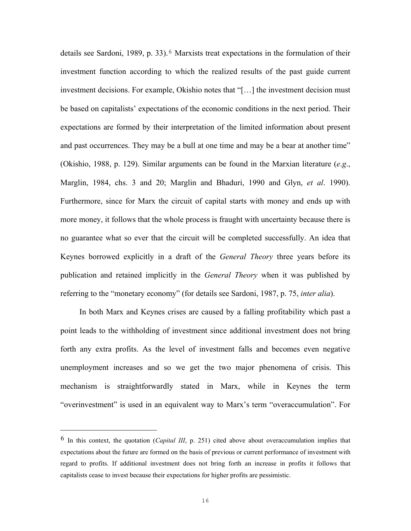details see Sardoni, 1989, p. 33).<sup>6</sup> Marxists treat expectations in the formulation of their investment function according to which the realized results of the past guide current investment decisions. For example, Okishio notes that "[…] the investment decision must be based on capitalists' expectations of the economic conditions in the next period. Their expectations are formed by their interpretation of the limited information about present and past occurrences. They may be a bull at one time and may be a bear at another time" (Okishio, 1988, p. 129). Similar arguments can be found in the Marxian literature (*e*.*g*., Marglin, 1984, chs. 3 and 20; Marglin and Bhaduri, 1990 and Glyn, *et al*. 1990). Furthermore, since for Marx the circuit of capital starts with money and ends up with more money, it follows that the whole process is fraught with uncertainty because there is no guarantee what so ever that the circuit will be completed successfully. An idea that Keynes borrowed explicitly in a draft of the *General Theory* three years before its publication and retained implicitly in the *General Theory* when it was published by referring to the "monetary economy" (for details see Sardoni, 1987, p. 75, *inter alia*).

 In both Marx and Keynes crises are caused by a falling profitability which past a point leads to the withholding of investment since additional investment does not bring forth any extra profits. As the level of investment falls and becomes even negative unemployment increases and so we get the two major phenomena of crisis. This mechanism is straightforwardly stated in Marx, while in Keynes the term "overinvestment" is used in an equivalent way to Marx's term "overaccumulation". For

 $\overline{\phantom{0}}$ 

<sup>6</sup> In this context, the quotation (*Capital III*, p. 251) cited above about overaccumulation implies that expectations about the future are formed on the basis of previous or current performance of investment with regard to profits. If additional investment does not bring forth an increase in profits it follows that capitalists cease to invest because their expectations for higher profits are pessimistic.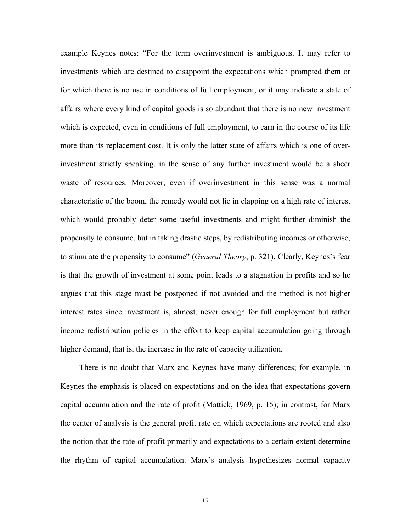example Keynes notes: "For the term overinvestment is ambiguous. It may refer to investments which are destined to disappoint the expectations which prompted them or for which there is no use in conditions of full employment, or it may indicate a state of affairs where every kind of capital goods is so abundant that there is no new investment which is expected, even in conditions of full employment, to earn in the course of its life more than its replacement cost. It is only the latter state of affairs which is one of overinvestment strictly speaking, in the sense of any further investment would be a sheer waste of resources. Moreover, even if overinvestment in this sense was a normal characteristic of the boom, the remedy would not lie in clapping on a high rate of interest which would probably deter some useful investments and might further diminish the propensity to consume, but in taking drastic steps, by redistributing incomes or otherwise, to stimulate the propensity to consume" (*General Theory*, p. 321). Clearly, Keynes's fear is that the growth of investment at some point leads to a stagnation in profits and so he argues that this stage must be postponed if not avoided and the method is not higher interest rates since investment is, almost, never enough for full employment but rather income redistribution policies in the effort to keep capital accumulation going through higher demand, that is, the increase in the rate of capacity utilization.

 There is no doubt that Marx and Keynes have many differences; for example, in Keynes the emphasis is placed on expectations and on the idea that expectations govern capital accumulation and the rate of profit (Mattick, 1969, p. 15); in contrast, for Marx the center of analysis is the general profit rate on which expectations are rooted and also the notion that the rate of profit primarily and expectations to a certain extent determine the rhythm of capital accumulation. Marx's analysis hypothesizes normal capacity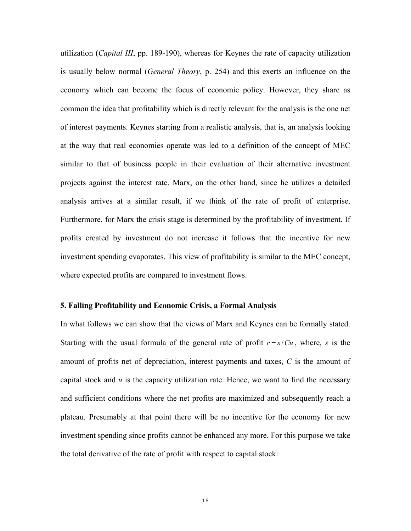utilization (*Capital III*, pp. 189-190), whereas for Keynes the rate of capacity utilization is usually below normal (*General Theory*, p. 254) and this exerts an influence on the economy which can become the focus of economic policy. However, they share as common the idea that profitability which is directly relevant for the analysis is the one net of interest payments. Keynes starting from a realistic analysis, that is, an analysis looking at the way that real economies operate was led to a definition of the concept of MEC similar to that of business people in their evaluation of their alternative investment projects against the interest rate. Marx, on the other hand, since he utilizes a detailed analysis arrives at a similar result, if we think of the rate of profit of enterprise. Furthermore, for Marx the crisis stage is determined by the profitability of investment. If profits created by investment do not increase it follows that the incentive for new investment spending evaporates. This view of profitability is similar to the MEC concept, where expected profits are compared to investment flows.

#### **5. Falling Profitability and Economic Crisis, a Formal Analysis**

In what follows we can show that the views of Marx and Keynes can be formally stated. Starting with the usual formula of the general rate of profit  $r = s/Cu$ , where, *s* is the amount of profits net of depreciation, interest payments and taxes, *C* is the amount of capital stock and *u* is the capacity utilization rate. Hence, we want to find the necessary and sufficient conditions where the net profits are maximized and subsequently reach a plateau. Presumably at that point there will be no incentive for the economy for new investment spending since profits cannot be enhanced any more. For this purpose we take the total derivative of the rate of profit with respect to capital stock: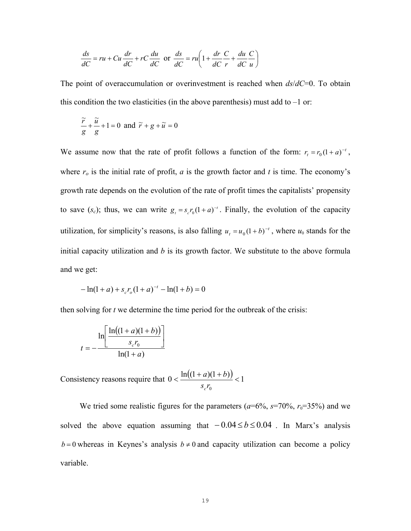$$
\frac{ds}{dC} = ru + Cu\frac{dr}{dC} + rC\frac{du}{dC} \text{ or } \frac{ds}{dC} = ru\left(1 + \frac{dr}{dC}\frac{C}{r} + \frac{du}{dC}\frac{C}{u}\right)
$$

The point of overaccumulation or overinvestment is reached when *ds*/*dC*=0. To obtain this condition the two elasticities (in the above parenthesis) must add to  $-1$  or:

$$
\frac{\widetilde{r}}{g} + \frac{\widetilde{u}}{g} + 1 = 0 \text{ and } \widetilde{r} + g + \widetilde{u} = 0
$$

We assume now that the rate of profit follows a function of the form:  $r_t = r_0(1 + a)^{-t}$ , where  $r<sub>o</sub>$  is the initial rate of profit,  $a$  is the growth factor and  $t$  is time. The economy's growth rate depends on the evolution of the rate of profit times the capitalists' propensity to save  $(s_c)$ ; thus, we can write  $g_t = s_c r_0 (1 + a)^{-t}$ . Finally, the evolution of the capacity utilization, for simplicity's reasons, is also falling  $u_t = u_0(1+b)^{-t}$ , where  $u_0$  stands for the initial capacity utilization and *b* is its growth factor. We substitute to the above formula and we get:

$$
-\ln(1+a) + s_c r_o (1+a)^{-t} - \ln(1+b) = 0
$$

then solving for *t* we determine the time period for the outbreak of the crisis:

$$
t = -\frac{\ln\left[\frac{\ln((1+a)(1+b))}{s_c r_0}\right]}{\ln(1+a)}
$$

Consistency reasons require that  $0 < \frac{\ln((1+a)(1+b))}{\ln(x)} < 1$ 0  $\frac{\ln((1+a)(1+b))}{(1+a)(1+b)}$ *rs a*) $(1 + b$ *c*

We tried some realistic figures for the parameters  $(a=6\%, s=70\%, r_0=35\%)$  and we solved the above equation assuming that  $-0.04 \le b \le 0.04$ . In Marx's analysis *b* = 0 whereas in Keynes's analysis *b*  $\neq$  0 and capacity utilization can become a policy variable.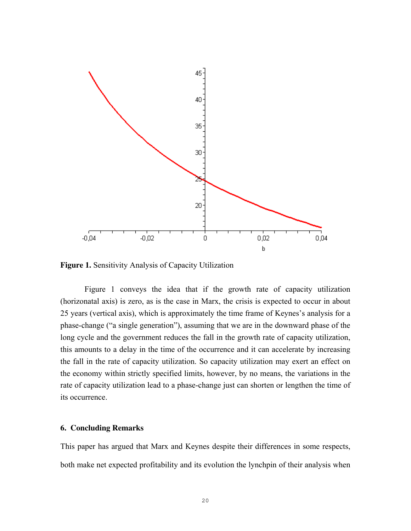

**Figure 1.** Sensitivity Analysis of Capacity Utilization

 Figure 1 conveys the idea that if the growth rate of capacity utilization (horizonatal axis) is zero, as is the case in Marx, the crisis is expected to occur in about 25 years (vertical axis), which is approximately the time frame of Keynes's analysis for a phase-change ("a single generation"), assuming that we are in the downward phase of the long cycle and the government reduces the fall in the growth rate of capacity utilization, this amounts to a delay in the time of the occurrence and it can accelerate by increasing the fall in the rate of capacity utilization. So capacity utilization may exert an effect on the economy within strictly specified limits, however, by no means, the variations in the rate of capacity utilization lead to a phase-change just can shorten or lengthen the time of its occurrence.

### **6. Concluding Remarks**

This paper has argued that Marx and Keynes despite their differences in some respects, both make net expected profitability and its evolution the lynchpin of their analysis when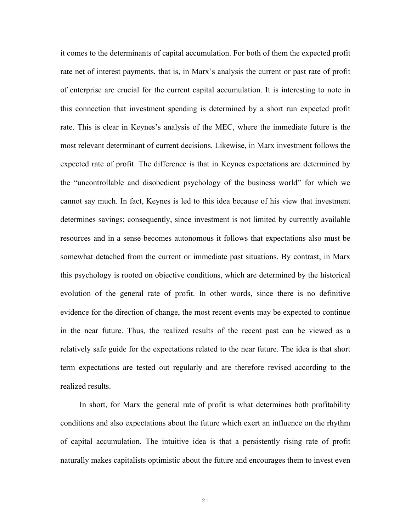it comes to the determinants of capital accumulation. For both of them the expected profit rate net of interest payments, that is, in Marx's analysis the current or past rate of profit of enterprise are crucial for the current capital accumulation. It is interesting to note in this connection that investment spending is determined by a short run expected profit rate. This is clear in Keynes's analysis of the MEC, where the immediate future is the most relevant determinant of current decisions. Likewise, in Marx investment follows the expected rate of profit. The difference is that in Keynes expectations are determined by the "uncontrollable and disobedient psychology of the business world" for which we cannot say much. In fact, Keynes is led to this idea because of his view that investment determines savings; consequently, since investment is not limited by currently available resources and in a sense becomes autonomous it follows that expectations also must be somewhat detached from the current or immediate past situations. By contrast, in Marx this psychology is rooted on objective conditions, which are determined by the historical evolution of the general rate of profit. In other words, since there is no definitive evidence for the direction of change, the most recent events may be expected to continue in the near future. Thus, the realized results of the recent past can be viewed as a relatively safe guide for the expectations related to the near future. The idea is that short term expectations are tested out regularly and are therefore revised according to the realized results.

 In short, for Marx the general rate of profit is what determines both profitability conditions and also expectations about the future which exert an influence on the rhythm of capital accumulation. The intuitive idea is that a persistently rising rate of profit naturally makes capitalists optimistic about the future and encourages them to invest even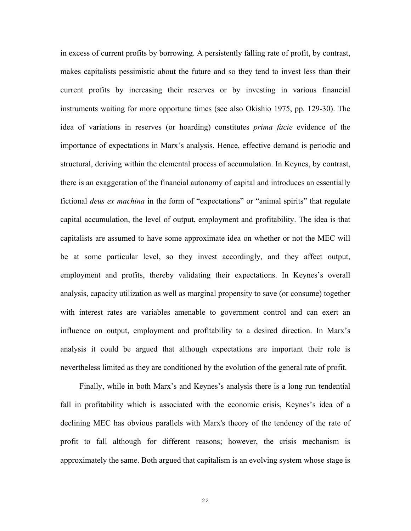in excess of current profits by borrowing. A persistently falling rate of profit, by contrast, makes capitalists pessimistic about the future and so they tend to invest less than their current profits by increasing their reserves or by investing in various financial instruments waiting for more opportune times (see also Okishio 1975, pp. 129-30). The idea of variations in reserves (or hoarding) constitutes *prima facie* evidence of the importance of expectations in Marx's analysis. Hence, effective demand is periodic and structural, deriving within the elemental process of accumulation. In Keynes, by contrast, there is an exaggeration of the financial autonomy of capital and introduces an essentially fictional *deus ex machina* in the form of "expectations" or "animal spirits" that regulate capital accumulation, the level of output, employment and profitability. The idea is that capitalists are assumed to have some approximate idea on whether or not the MEC will be at some particular level, so they invest accordingly, and they affect output, employment and profits, thereby validating their expectations. In Keynes's overall analysis, capacity utilization as well as marginal propensity to save (or consume) together with interest rates are variables amenable to government control and can exert an influence on output, employment and profitability to a desired direction. In Marx's analysis it could be argued that although expectations are important their role is nevertheless limited as they are conditioned by the evolution of the general rate of profit.

 Finally, while in both Marx's and Keynes's analysis there is a long run tendential fall in profitability which is associated with the economic crisis, Keynes's idea of a declining MEC has obvious parallels with Marx's theory of the tendency of the rate of profit to fall although for different reasons; however, the crisis mechanism is approximately the same. Both argued that capitalism is an evolving system whose stage is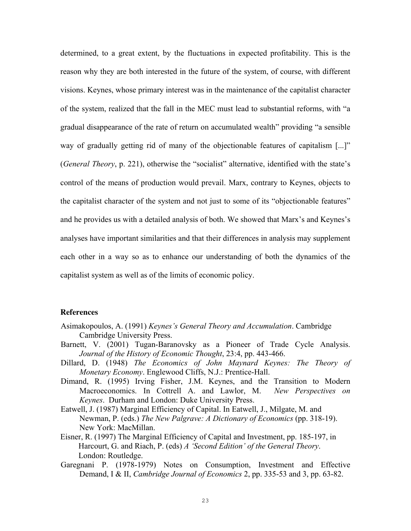determined, to a great extent, by the fluctuations in expected profitability. This is the reason why they are both interested in the future of the system, of course, with different visions. Keynes, whose primary interest was in the maintenance of the capitalist character of the system, realized that the fall in the MEC must lead to substantial reforms, with "a gradual disappearance of the rate of return on accumulated wealth" providing "a sensible way of gradually getting rid of many of the objectionable features of capitalism [...]" (*General Theory*, p. 221), otherwise the "socialist" alternative, identified with the state's control of the means of production would prevail. Marx, contrary to Keynes, objects to the capitalist character of the system and not just to some of its "objectionable features" and he provides us with a detailed analysis of both. We showed that Marx's and Keynes's analyses have important similarities and that their differences in analysis may supplement each other in a way so as to enhance our understanding of both the dynamics of the capitalist system as well as of the limits of economic policy.

#### **References**

- Asimakopoulos, A. (1991) *Keynes's General Theory and Accumulation*. Cambridge Cambridge University Press.
- Barnett, V. (2001) Tugan-Baranovsky as a Pioneer of Trade Cycle Analysis. *Journal of the History of Economic Thought*, 23:4, pp. 443-466.
- Dillard, D. (1948) *The Economics of John Maynard Keynes: The Theory of Monetary Economy*. Englewood Cliffs, N.J.: Prentice-Hall.
- Dimand, R. (1995) Irving Fisher, J.M. Keynes, and the Transition to Modern Macroeconomics. In Cottrell A. and Lawlor, M. *New Perspectives on Keynes*. Durham and London: Duke University Press.
- Eatwell, J. (1987) Marginal Efficiency of Capital. In Eatwell, J., Milgate, M. and Newman, P. (eds.) *The New Palgrave: A Dictionary of Economics* (pp. 318-19). New York: MacMillan.
- Eisner, R. (1997) The Marginal Efficiency of Capital and Investment, pp. 185-197, in Harcourt, G. and Riach, P. (eds) *A 'Second Edition' of the General Theory*. London: Routledge.
- Garegnani P. (1978-1979) Notes on Consumption, Investment and Effective Demand, I & II, *Cambridge Journal of Economics* 2, pp. 335-53 and 3, pp. 63-82.